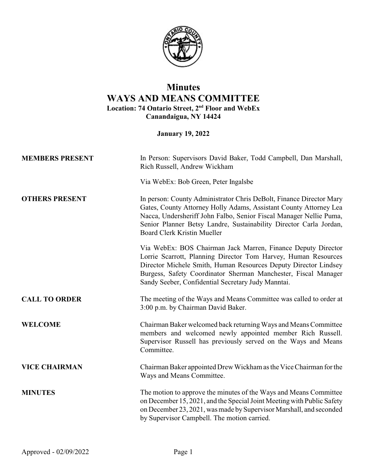

## **Minutes WAYS AND MEANS COMMITTEE Location: 74 Ontario Street, 2nd Floor and WebEx Canandaigua, NY 14424**

**January 19, 2022**

| <b>MEMBERS PRESENT</b> | In Person: Supervisors David Baker, Todd Campbell, Dan Marshall,<br>Rich Russell, Andrew Wickham                                                                                                                                                                                                                           |
|------------------------|----------------------------------------------------------------------------------------------------------------------------------------------------------------------------------------------------------------------------------------------------------------------------------------------------------------------------|
|                        | Via WebEx: Bob Green, Peter Ingalsbe                                                                                                                                                                                                                                                                                       |
| <b>OTHERS PRESENT</b>  | In person: County Administrator Chris DeBolt, Finance Director Mary<br>Gates, County Attorney Holly Adams, Assistant County Attorney Lea<br>Nacca, Undersheriff John Falbo, Senior Fiscal Manager Nellie Puma,<br>Senior Planner Betsy Landre, Sustainability Director Carla Jordan,<br><b>Board Clerk Kristin Mueller</b> |
|                        | Via WebEx: BOS Chairman Jack Marren, Finance Deputy Director<br>Lorrie Scarrott, Planning Director Tom Harvey, Human Resources<br>Director Michele Smith, Human Resources Deputy Director Lindsey<br>Burgess, Safety Coordinator Sherman Manchester, Fiscal Manager<br>Sandy Seeber, Confidential Secretary Judy Manntai.  |
| <b>CALL TO ORDER</b>   | The meeting of the Ways and Means Committee was called to order at<br>3:00 p.m. by Chairman David Baker.                                                                                                                                                                                                                   |
| <b>WELCOME</b>         | Chairman Baker welcomed back returning Ways and Means Committee<br>members and welcomed newly appointed member Rich Russell.<br>Supervisor Russell has previously served on the Ways and Means<br>Committee.                                                                                                               |
| <b>VICE CHAIRMAN</b>   | Chairman Baker appointed Drew Wickham as the Vice Chairman for the<br>Ways and Means Committee.                                                                                                                                                                                                                            |
| <b>MINUTES</b>         | The motion to approve the minutes of the Ways and Means Committee<br>on December 15, 2021, and the Special Joint Meeting with Public Safety<br>on December 23, 2021, was made by Supervisor Marshall, and seconded<br>by Supervisor Campbell. The motion carried.                                                          |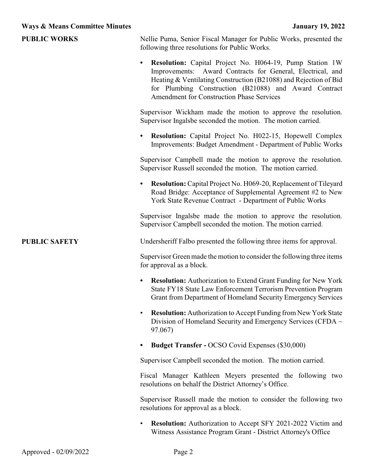| <b>PUBLIC WORKS</b>  | Nellie Puma, Senior Fiscal Manager for Public Works, presented the<br>following three resolutions for Public Works.                                                                                                                                                                                                         |
|----------------------|-----------------------------------------------------------------------------------------------------------------------------------------------------------------------------------------------------------------------------------------------------------------------------------------------------------------------------|
|                      | <b>Resolution:</b> Capital Project No. H064-19, Pump Station 1W<br>$\bullet$<br>Improvements: Award Contracts for General, Electrical, and<br>Heating & Ventilating Construction (B21088) and Rejection of Bid<br>for Plumbing Construction (B21088) and Award Contract<br><b>Amendment for Construction Phase Services</b> |
|                      | Supervisor Wickham made the motion to approve the resolution.<br>Supervisor Ingalsbe seconded the motion. The motion carried.                                                                                                                                                                                               |
|                      | <b>Resolution:</b> Capital Project No. H022-15, Hopewell Complex<br>$\bullet$<br>Improvements: Budget Amendment - Department of Public Works                                                                                                                                                                                |
|                      | Supervisor Campbell made the motion to approve the resolution.<br>Supervisor Russell seconded the motion. The motion carried.                                                                                                                                                                                               |
|                      | Resolution: Capital Project No. H069-20, Replacement of Tileyard<br>٠<br>Road Bridge: Acceptance of Supplemental Agreement #2 to New<br>York State Revenue Contract - Department of Public Works                                                                                                                            |
|                      | Supervisor Ingalsbe made the motion to approve the resolution.<br>Supervisor Campbell seconded the motion. The motion carried.                                                                                                                                                                                              |
| <b>PUBLIC SAFETY</b> | Undersheriff Falbo presented the following three items for approval.                                                                                                                                                                                                                                                        |
|                      | Supervisor Green made the motion to consider the following three items<br>for approval as a block.                                                                                                                                                                                                                          |
|                      | <b>Resolution:</b> Authorization to Extend Grant Funding for New York<br>$\bullet$<br>State FY18 State Law Enforcement Terrorism Prevention Program<br>Grant from Department of Homeland Security Emergency Services                                                                                                        |
|                      | <b>Resolution:</b> Authorization to Accept Funding from New York State<br>Division of Homeland Security and Emergency Services (CFDA $\sim$<br>97.067)                                                                                                                                                                      |
|                      | Budget Transfer - OCSO Covid Expenses (\$30,000)                                                                                                                                                                                                                                                                            |
|                      | Supervisor Campbell seconded the motion. The motion carried.                                                                                                                                                                                                                                                                |
|                      | Fiscal Manager Kathleen Meyers presented the following two<br>resolutions on behalf the District Attorney's Office.                                                                                                                                                                                                         |
|                      | Supervisor Russell made the motion to consider the following two<br>resolutions for approval as a block.                                                                                                                                                                                                                    |
|                      | <b>Resolution:</b> Authorization to Accept SFY 2021-2022 Victim and<br>Witness Assistance Program Grant - District Attorney's Office                                                                                                                                                                                        |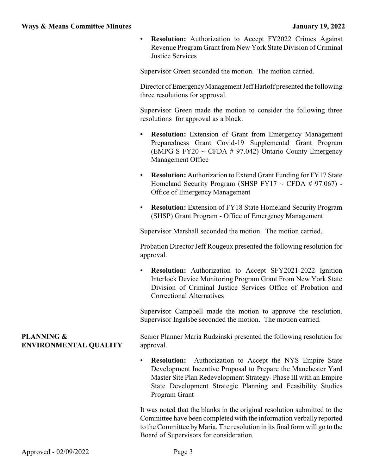• **Resolution:** Authorization to Accept FY2022 Crimes Against Revenue Program Grant from New York State Division of Criminal Justice Services

Supervisor Green seconded the motion. The motion carried.

Director of Emergency Management Jeff Harloff presented the following three resolutions for approval.

Supervisor Green made the motion to consider the following three resolutions for approval as a block.

- **• Resolution:** Extension of Grant from Emergency Management Preparedness Grant Covid-19 Supplemental Grant Program  $(EMPG-S FY20 ~ CFDA # 97.042)$  Ontario County Emergency Management Office
- **Resolution:** Authorization to Extend Grant Funding for FY17 State Homeland Security Program (SHSP FY17  $\sim$  CFDA # 97.067) -Office of Emergency Management
- **Resolution:** Extension of FY18 State Homeland Security Program (SHSP) Grant Program - Office of Emergency Management

Supervisor Marshall seconded the motion. The motion carried.

Probation Director Jeff Rougeux presented the following resolution for approval.

**Resolution:** Authorization to Accept SFY2021-2022 Ignition Interlock Device Monitoring Program Grant From New York State Division of Criminal Justice Services Office of Probation and Correctional Alternatives

Supervisor Campbell made the motion to approve the resolution. Supervisor Ingalsbe seconded the motion. The motion carried.

Senior Planner Maria Rudzinski presented the following resolution for approval.

**Resolution:** Authorization to Accept the NYS Empire State Development Incentive Proposal to Prepare the Manchester Yard Master Site Plan Redevelopment Strategy- Phase III with an Empire State Development Strategic Planning and Feasibility Studies Program Grant

It was noted that the blanks in the original resolution submitted to the Committee have been completed with the information verbally reported to the Committee byMaria. The resolution in its final form will go to the Board of Supervisors for consideration.

## **PLANNING & ENVIRONMENTAL QUALITY**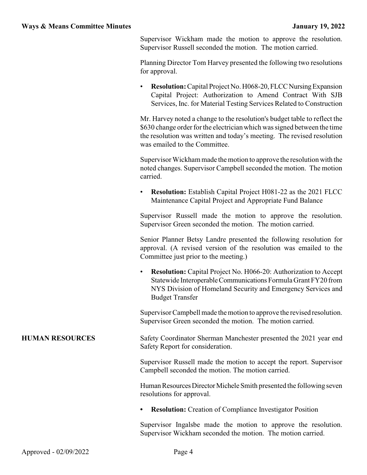Supervisor Wickham made the motion to approve the resolution. Supervisor Russell seconded the motion. The motion carried.

Planning Director Tom Harvey presented the following two resolutions for approval.

**Resolution:** Capital Project No. H068-20, FLCC Nursing Expansion Capital Project: Authorization to Amend Contract With SJB Services, Inc. for Material Testing Services Related to Construction

Mr. Harvey noted a change to the resolution's budget table to reflect the \$630 change order for the electrician which was signed between the time the resolution was written and today's meeting. The revised resolution was emailed to the Committee.

Supervisor Wickham made the motion to approve the resolution with the noted changes. Supervisor Campbell seconded the motion. The motion carried.

• **Resolution:** Establish Capital Project H081-22 as the 2021 FLCC Maintenance Capital Project and Appropriate Fund Balance

Supervisor Russell made the motion to approve the resolution. Supervisor Green seconded the motion. The motion carried.

Senior Planner Betsy Landre presented the following resolution for approval. (A revised version of the resolution was emailed to the Committee just prior to the meeting.)

• **Resolution:** Capital Project No. H066-20: Authorization to Accept Statewide InteroperableCommunications Formula Grant FY20 from NYS Division of Homeland Security and Emergency Services and Budget Transfer

Supervisor Campbell made the motion to approve the revised resolution. Supervisor Green seconded the motion. The motion carried.

**HUMAN RESOURCES** Safety Coordinator Sherman Manchester presented the 2021 year end Safety Report for consideration.

> Supervisor Russell made the motion to accept the report. Supervisor Campbell seconded the motion. The motion carried.

> Human Resources Director Michele Smith presented the following seven resolutions for approval.

**• Resolution:** Creation of Compliance Investigator Position

Supervisor Ingalsbe made the motion to approve the resolution. Supervisor Wickham seconded the motion. The motion carried.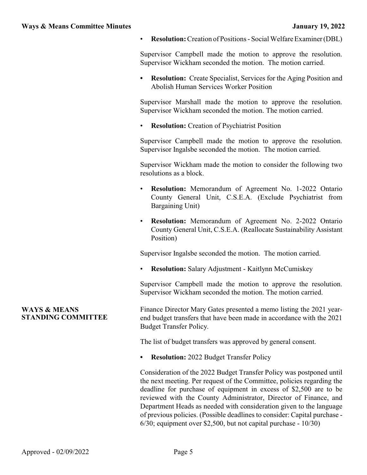• **Resolution:**Creation of Positions - Social Welfare Examiner (DBL)

Supervisor Campbell made the motion to approve the resolution. Supervisor Wickham seconded the motion. The motion carried.

**• Resolution:** Create Specialist, Services for the Aging Position and Abolish Human Services Worker Position

Supervisor Marshall made the motion to approve the resolution. Supervisor Wickham seconded the motion. The motion carried.

**Resolution:** Creation of Psychiatrist Position

Supervisor Campbell made the motion to approve the resolution. Supervisor Ingalsbe seconded the motion. The motion carried.

Supervisor Wickham made the motion to consider the following two resolutions as a block.

- **Resolution:** Memorandum of Agreement No. 1-2022 Ontario County General Unit, C.S.E.A. (Exclude Psychiatrist from Bargaining Unit)
- **Resolution:** Memorandum of Agreement No. 2-2022 Ontario County General Unit, C.S.E.A. (Reallocate Sustainability Assistant Position)

Supervisor Ingalsbe seconded the motion. The motion carried.

• **Resolution:** Salary Adjustment - Kaitlynn McCumiskey

Supervisor Campbell made the motion to approve the resolution. Supervisor Wickham seconded the motion. The motion carried.

Finance Director Mary Gates presented a memo listing the 2021 yearend budget transfers that have been made in accordance with the 2021 Budget Transfer Policy.

The list of budget transfers was approved by general consent.

**• Resolution:** 2022 Budget Transfer Policy

Consideration of the 2022 Budget Transfer Policy was postponed until the next meeting. Per request of the Committee, policies regarding the deadline for purchase of equipment in excess of \$2,500 are to be reviewed with the County Administrator, Director of Finance, and Department Heads as needed with consideration given to the language of previous policies. (Possible deadlines to consider: Capital purchase - 6/30; equipment over \$2,500, but not capital purchase - 10/30)

## **WAYS & MEANS STANDING COMMITTEE**